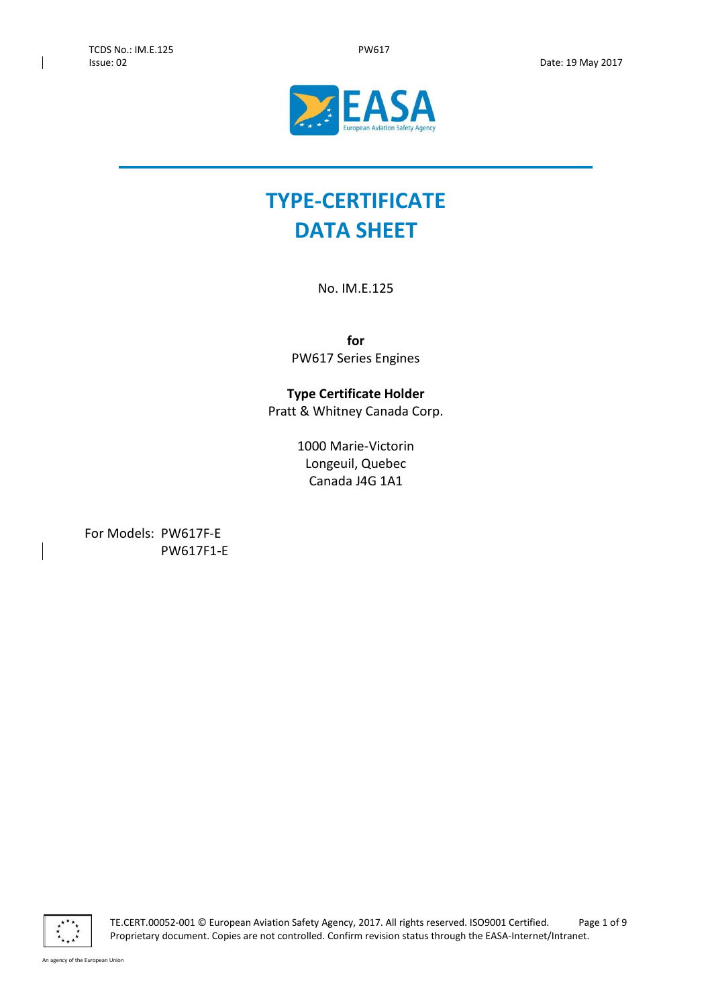

# **TYPE-CERTIFICATE DATA SHEET**

No. IM.E.125

**for** PW617 Series Engines

# **Type Certificate Holder**

Pratt & Whitney Canada Corp.

1000 Marie-Victorin Longeuil, Quebec Canada J4G 1A1

For Models: PW617F-E PW617F1-E

 $\begin{matrix} \star^{\star\star}\star_{\star}\\ \star_{\star\star\star}^{\star} \end{matrix}$ 

TE.CERT.00052-001 © European Aviation Safety Agency, 2017. All rights reserved. ISO9001 Certified. Page 1 of 9 Proprietary document. Copies are not controlled. Confirm revision status through the EASA-Internet/Intranet.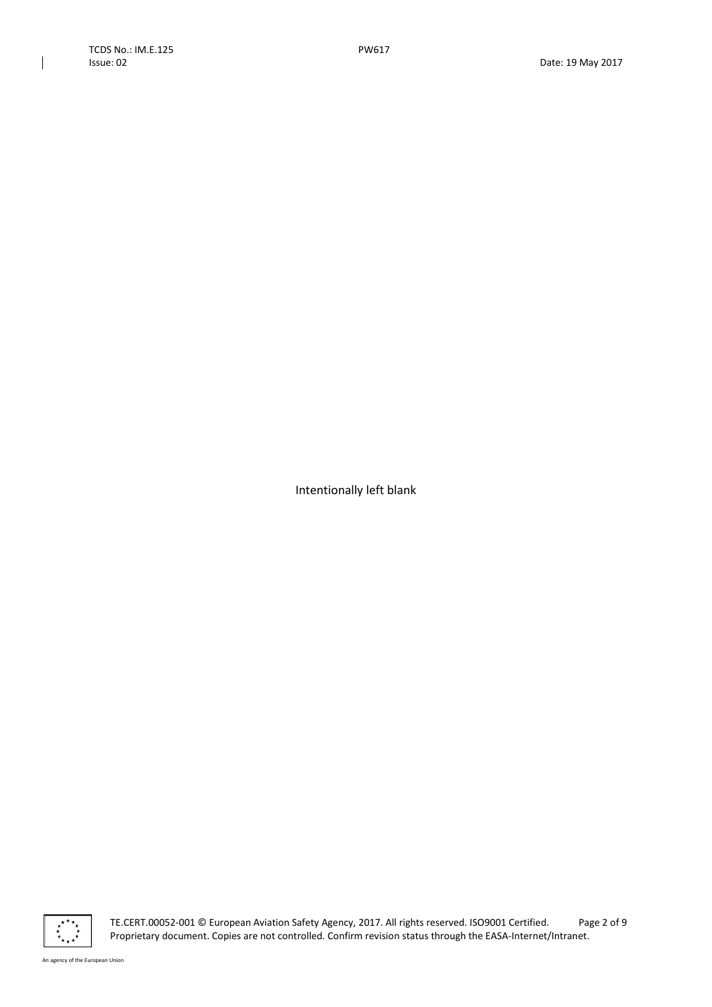Intentionally left blank



TE.CERT.00052-001 © European Aviation Safety Agency, 2017. All rights reserved. ISO9001 Certified. Page 2 of 9 Proprietary document. Copies are not controlled. Confirm revision status through the EASA-Internet/Intranet.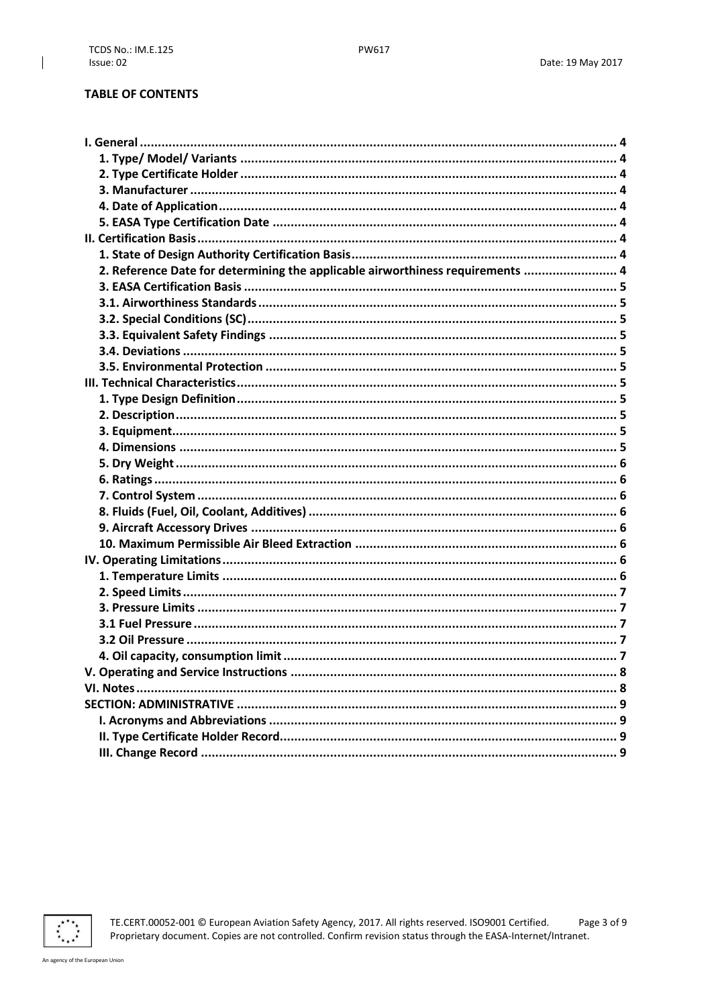## **TABLE OF CONTENTS**

| 2. Reference Date for determining the applicable airworthiness requirements  4 |  |
|--------------------------------------------------------------------------------|--|
|                                                                                |  |
|                                                                                |  |
|                                                                                |  |
|                                                                                |  |
|                                                                                |  |
|                                                                                |  |
|                                                                                |  |
|                                                                                |  |
|                                                                                |  |
|                                                                                |  |
|                                                                                |  |
|                                                                                |  |
|                                                                                |  |
|                                                                                |  |
|                                                                                |  |
|                                                                                |  |
|                                                                                |  |
|                                                                                |  |
|                                                                                |  |
|                                                                                |  |
|                                                                                |  |
|                                                                                |  |
|                                                                                |  |
|                                                                                |  |
|                                                                                |  |
|                                                                                |  |
|                                                                                |  |
|                                                                                |  |
|                                                                                |  |
|                                                                                |  |
|                                                                                |  |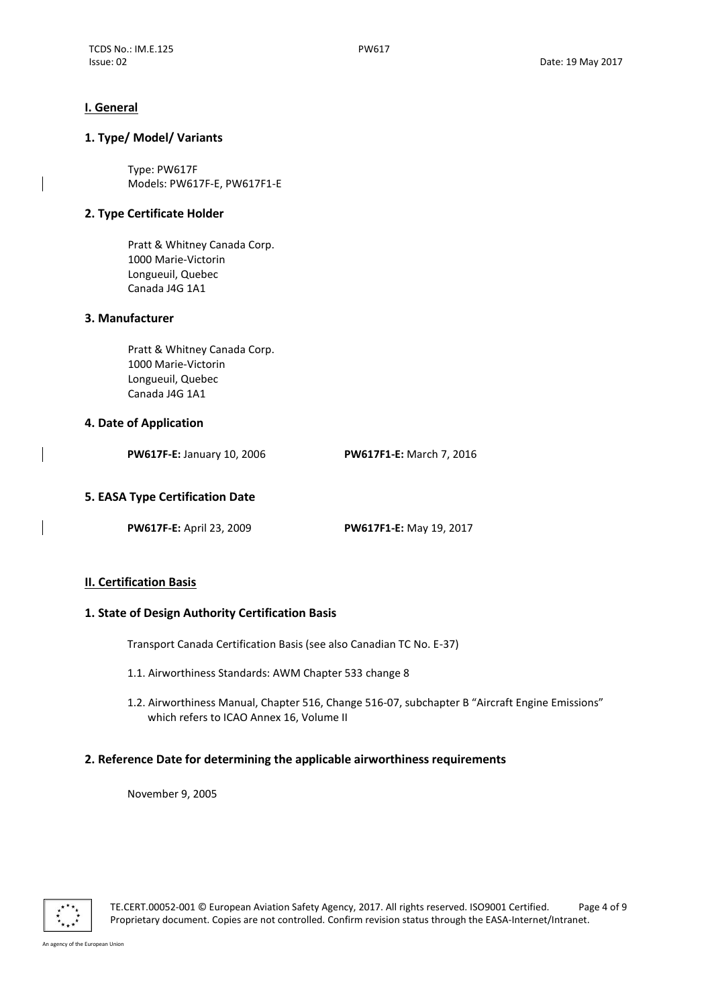## <span id="page-3-0"></span>**I. General**

## <span id="page-3-1"></span>**1. Type/ Model/ Variants**

Type: PW617F Models: PW617F-E, PW617F1-E

## <span id="page-3-2"></span>**2. Type Certificate Holder**

Pratt & Whitney Canada Corp. 1000 Marie-Victorin Longueuil, Quebec Canada J4G 1A1

### <span id="page-3-3"></span>**3. Manufacturer**

Pratt & Whitney Canada Corp. 1000 Marie-Victorin Longueuil, Quebec Canada J4G 1A1

## <span id="page-3-4"></span>**4. Date of Application**

**PW617F-E:** January 10, 2006 **PW617F1-E:** March 7, 2016

## <span id="page-3-5"></span>**5. EASA Type Certification Date**

**PW617F-E:** April 23, 2009 **PW617F1-E:** May 19, 2017

### <span id="page-3-6"></span>**II. Certification Basis**

## <span id="page-3-7"></span>**1. State of Design Authority Certification Basis**

Transport Canada Certification Basis (see also Canadian TC No. E-37)

- 1.1. Airworthiness Standards: AWM Chapter 533 change 8
- 1.2. Airworthiness Manual, Chapter 516, Change 516-07, subchapter B "Aircraft Engine Emissions" which refers to ICAO Annex 16, Volume II

## <span id="page-3-8"></span>**2. Reference Date for determining the applicable airworthiness requirements**

November 9, 2005



TE.CERT.00052-001 © European Aviation Safety Agency, 2017. All rights reserved. ISO9001 Certified. Page 4 of 9 Proprietary document. Copies are not controlled. Confirm revision status through the EASA-Internet/Intranet.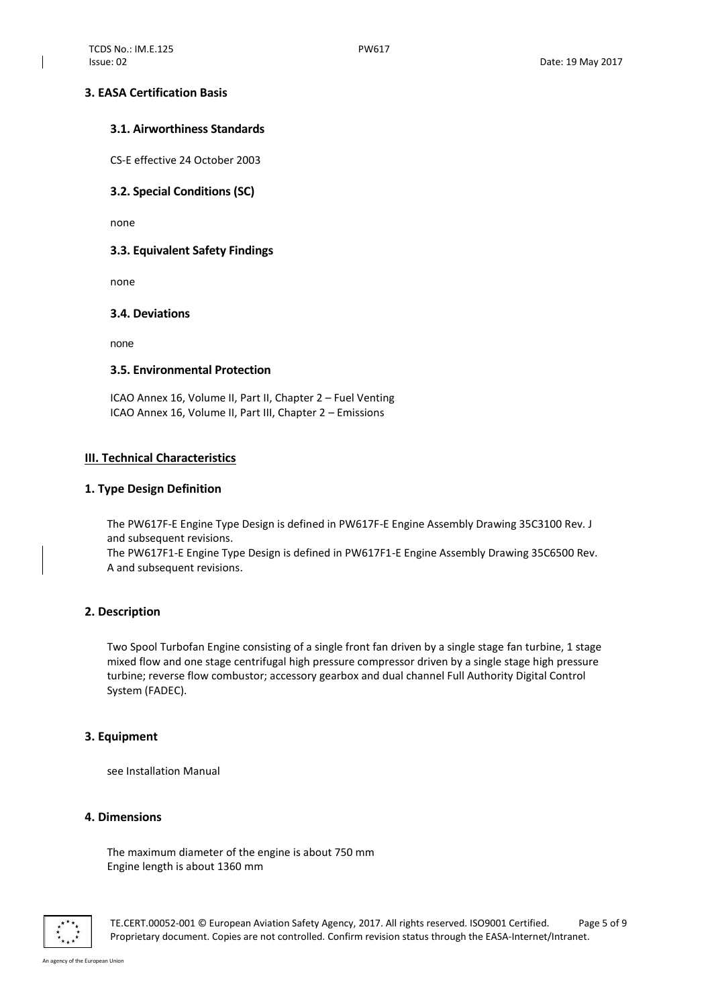## <span id="page-4-0"></span>**3. EASA Certification Basis**

## <span id="page-4-1"></span>**3.1. Airworthiness Standards**

CS-E effective 24 October 2003

## <span id="page-4-2"></span>**3.2. Special Conditions (SC)**

none

## <span id="page-4-3"></span>**3.3. Equivalent Safety Findings**

none

### <span id="page-4-4"></span>**3.4. Deviations**

none

## <span id="page-4-5"></span>**3.5. Environmental Protection**

ICAO Annex 16, Volume II, Part II, Chapter 2 – Fuel Venting ICAO Annex 16, Volume II, Part III, Chapter 2 – Emissions

## <span id="page-4-6"></span>**III. Technical Characteristics**

### <span id="page-4-7"></span>**1. Type Design Definition**

The PW617F-E Engine Type Design is defined in PW617F-E Engine Assembly Drawing 35C3100 Rev. J and subsequent revisions.

The PW617F1-E Engine Type Design is defined in PW617F1-E Engine Assembly Drawing 35C6500 Rev. A and subsequent revisions.

### <span id="page-4-8"></span>**2. Description**

Two Spool Turbofan Engine consisting of a single front fan driven by a single stage fan turbine, 1 stage mixed flow and one stage centrifugal high pressure compressor driven by a single stage high pressure turbine; reverse flow combustor; accessory gearbox and dual channel Full Authority Digital Control System (FADEC).

### <span id="page-4-9"></span>**3. Equipment**

see Installation Manual

## <span id="page-4-10"></span>**4. Dimensions**

The maximum diameter of the engine is about 750 mm Engine length is about 1360 mm



TE.CERT.00052-001 © European Aviation Safety Agency, 2017. All rights reserved. ISO9001 Certified. Page 5 of 9 Proprietary document. Copies are not controlled. Confirm revision status through the EASA-Internet/Intranet.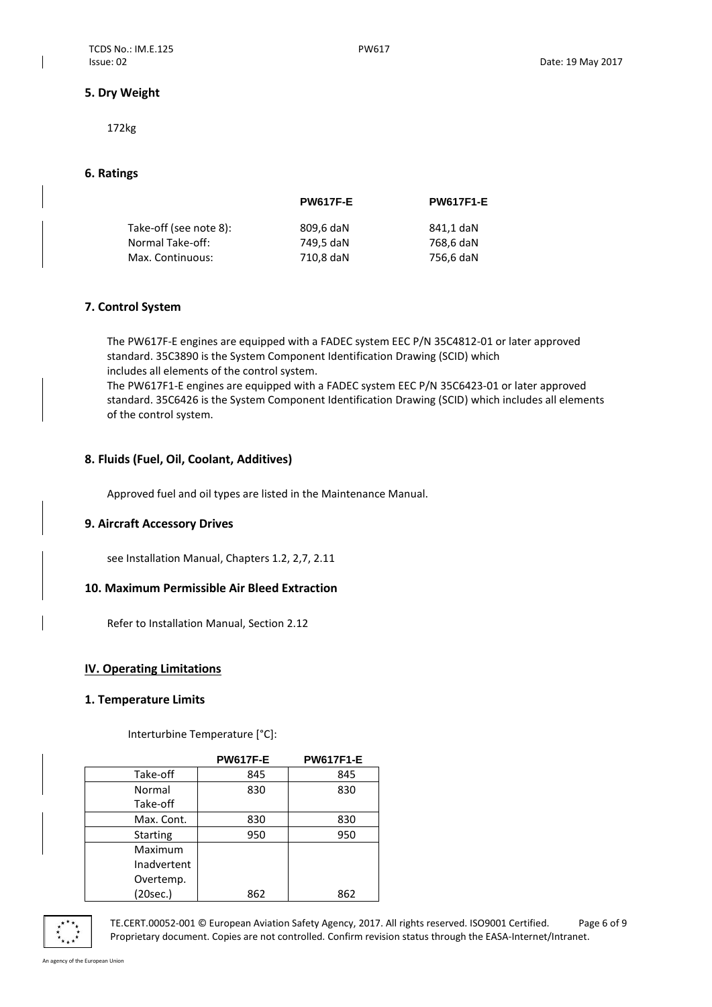## <span id="page-5-0"></span>**5. Dry Weight**

172kg

## <span id="page-5-1"></span>**6. Ratings**

|                        | <b>PW617F-E</b> | <b>PW617F1-E</b> |
|------------------------|-----------------|------------------|
| Take-off (see note 8): | 809.6 daN       | 841,1 daN        |
| Normal Take-off:       | 749.5 daN       | 768.6 daN        |
| Max. Continuous:       | 710.8 daN       | 756,6 daN        |

## <span id="page-5-2"></span>**7. Control System**

The PW617F-E engines are equipped with a FADEC system EEC P/N 35C4812-01 or later approved standard. 35C3890 is the System Component Identification Drawing (SCID) which includes all elements of the control system.

The PW617F1-E engines are equipped with a FADEC system EEC P/N 35C6423-01 or later approved standard. 35C6426 is the System Component Identification Drawing (SCID) which includes all elements of the control system.

## <span id="page-5-3"></span>**8. Fluids (Fuel, Oil, Coolant, Additives)**

Approved fuel and oil types are listed in the Maintenance Manual.

### <span id="page-5-4"></span>**9. Aircraft Accessory Drives**

see Installation Manual, Chapters 1.2, 2,7, 2.11

## <span id="page-5-5"></span>**10. Maximum Permissible Air Bleed Extraction**

Refer to Installation Manual, Section 2.12

## <span id="page-5-6"></span>**IV. Operating Limitations**

### <span id="page-5-7"></span>**1. Temperature Limits**

Interturbine Temperature [°C]:

|                 | <b>PW617F-E</b> | <b>PW617F1-E</b> |
|-----------------|-----------------|------------------|
| Take-off        | 845             | 845              |
| Normal          | 830             | 830              |
| Take-off        |                 |                  |
| Max. Cont.      | 830             | 830              |
| <b>Starting</b> | 950             | 950              |
| Maximum         |                 |                  |
| Inadvertent     |                 |                  |
| Overtemp.       |                 |                  |
| (20sec.)        | 862             | 862              |



TE.CERT.00052-001 © European Aviation Safety Agency, 2017. All rights reserved. ISO9001 Certified. Page 6 of 9 Proprietary document. Copies are not controlled. Confirm revision status through the EASA-Internet/Intranet.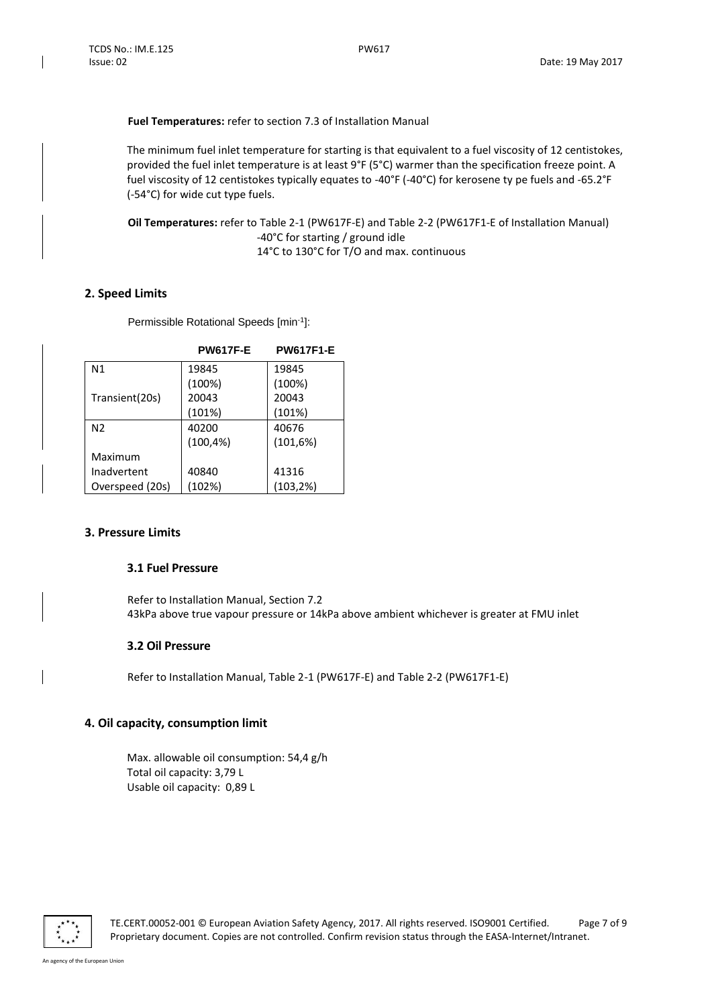#### **Fuel Temperatures:** refer to section 7.3 of Installation Manual

The minimum fuel inlet temperature for starting is that equivalent to a fuel viscosity of 12 centistokes, provided the fuel inlet temperature is at least 9°F (5°C) warmer than the specification freeze point. A fuel viscosity of 12 centistokes typically equates to -40°F (-40°C) for kerosene ty pe fuels and -65.2°F (-54°C) for wide cut type fuels.

**Oil Temperatures:** refer to Table 2-1 (PW617F-E) and Table 2-2 (PW617F1-E of Installation Manual) -40°C for starting / ground idle 14°C to 130°C for T/O and max. continuous

## <span id="page-6-0"></span>**2. Speed Limits**

Permissible Rotational Speeds [min-1 ]:

|                 | <b>PW617F-E</b> | <b>PW617F1-E</b> |  |
|-----------------|-----------------|------------------|--|
| N <sub>1</sub>  | 19845           | 19845            |  |
|                 | (100%)          | (100%)           |  |
| Transient(20s)  | 20043           | 20043            |  |
|                 | (101%)          | (101%)           |  |
| N <sub>2</sub>  | 40200           | 40676            |  |
|                 | $(100, 4\%)$    | (101, 6%)        |  |
| Maximum         |                 |                  |  |
| Inadvertent     | 40840           | 41316            |  |
| Overspeed (20s) | (102%)          | $(103, 2\%)$     |  |

#### <span id="page-6-2"></span><span id="page-6-1"></span>**3. Pressure Limits**

## **3.1 Fuel Pressure**

Refer to Installation Manual, Section 7.2 43kPa above true vapour pressure or 14kPa above ambient whichever is greater at FMU inlet

#### <span id="page-6-3"></span>**3.2 Oil Pressure**

Refer to Installation Manual, Table 2-1 (PW617F-E) and Table 2-2 (PW617F1-E)

### <span id="page-6-4"></span>**4. Oil capacity, consumption limit**

Max. allowable oil consumption: 54,4 g/h Total oil capacity: 3,79 L Usable oil capacity: 0,89 L



TE.CERT.00052-001 © European Aviation Safety Agency, 2017. All rights reserved. ISO9001 Certified. Page 7 of 9 Proprietary document. Copies are not controlled. Confirm revision status through the EASA-Internet/Intranet.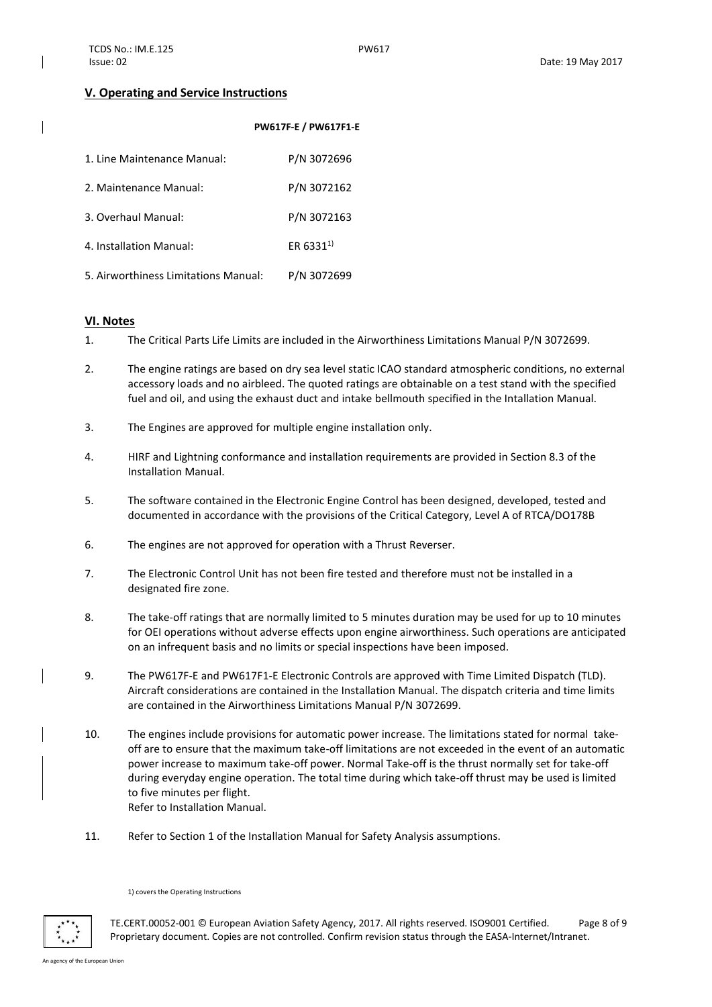## <span id="page-7-0"></span>**V. Operating and Service Instructions**

|                                      | PW617F-E / PW617F1-E  |
|--------------------------------------|-----------------------|
| 1. Line Maintenance Manual:          | P/N 3072696           |
| 2. Maintenance Manual:               | P/N 3072162           |
| 3. Overhaul Manual:                  | P/N 3072163           |
| 4. Installation Manual:              | ER 6331 <sup>1)</sup> |
| 5. Airworthiness Limitations Manual: | P/N 3072699           |

### <span id="page-7-1"></span>**VI. Notes**

- 1. The Critical Parts Life Limits are included in the Airworthiness Limitations Manual P/N 3072699.
- 2. The engine ratings are based on dry sea level static ICAO standard atmospheric conditions, no external accessory loads and no airbleed. The quoted ratings are obtainable on a test stand with the specified fuel and oil, and using the exhaust duct and intake bellmouth specified in the Intallation Manual.
- 3. The Engines are approved for multiple engine installation only.
- 4. HIRF and Lightning conformance and installation requirements are provided in Section 8.3 of the Installation Manual.
- 5. The software contained in the Electronic Engine Control has been designed, developed, tested and documented in accordance with the provisions of the Critical Category, Level A of RTCA/DO178B
- 6. The engines are not approved for operation with a Thrust Reverser.
- 7. The Electronic Control Unit has not been fire tested and therefore must not be installed in a designated fire zone.
- 8. The take-off ratings that are normally limited to 5 minutes duration may be used for up to 10 minutes for OEI operations without adverse effects upon engine airworthiness. Such operations are anticipated on an infrequent basis and no limits or special inspections have been imposed.
- 9. The PW617F-E and PW617F1-E Electronic Controls are approved with Time Limited Dispatch (TLD). Aircraft considerations are contained in the Installation Manual. The dispatch criteria and time limits are contained in the Airworthiness Limitations Manual P/N 3072699.
- 10. The engines include provisions for automatic power increase. The limitations stated for normal takeoff are to ensure that the maximum take-off limitations are not exceeded in the event of an automatic power increase to maximum take-off power. Normal Take-off is the thrust normally set for take-off during everyday engine operation. The total time during which take-off thrust may be used is limited to five minutes per flight. Refer to Installation Manual.
- 11. Refer to Section 1 of the Installation Manual for Safety Analysis assumptions.

1) covers the Operating Instructions



TE.CERT.00052-001 © European Aviation Safety Agency, 2017. All rights reserved. ISO9001 Certified. Page 8 of 9 Proprietary document. Copies are not controlled. Confirm revision status through the EASA-Internet/Intranet.